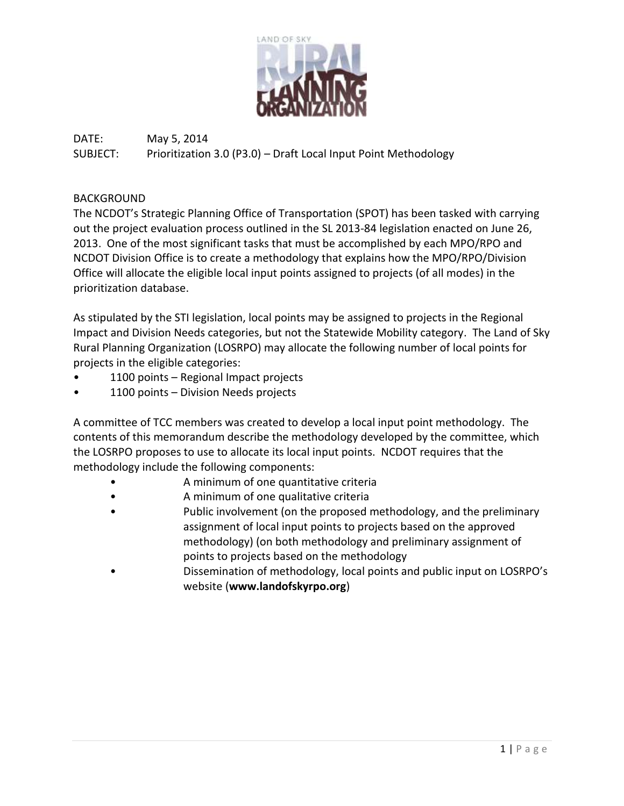

# DATE: May 5, 2014 SUBJECT: Prioritization 3.0 (P3.0) – Draft Local Input Point Methodology

## BACKGROUND

The NCDOT's Strategic Planning Office of Transportation (SPOT) has been tasked with carrying out the project evaluation process outlined in the SL 2013-84 legislation enacted on June 26, 2013. One of the most significant tasks that must be accomplished by each MPO/RPO and NCDOT Division Office is to create a methodology that explains how the MPO/RPO/Division Office will allocate the eligible local input points assigned to projects (of all modes) in the prioritization database.

As stipulated by the STI legislation, local points may be assigned to projects in the Regional Impact and Division Needs categories, but not the Statewide Mobility category. The Land of Sky Rural Planning Organization (LOSRPO) may allocate the following number of local points for projects in the eligible categories:

- 1100 points Regional Impact projects
- 1100 points Division Needs projects

A committee of TCC members was created to develop a local input point methodology. The contents of this memorandum describe the methodology developed by the committee, which the LOSRPO proposes to use to allocate its local input points. NCDOT requires that the methodology include the following components:

- A minimum of one quantitative criteria
- A minimum of one qualitative criteria
- Public involvement (on the proposed methodology, and the preliminary assignment of local input points to projects based on the approved methodology) (on both methodology and preliminary assignment of points to projects based on the methodology
- Dissemination of methodology, local points and public input on LOSRPO's website (**www.landofskyrpo.org**)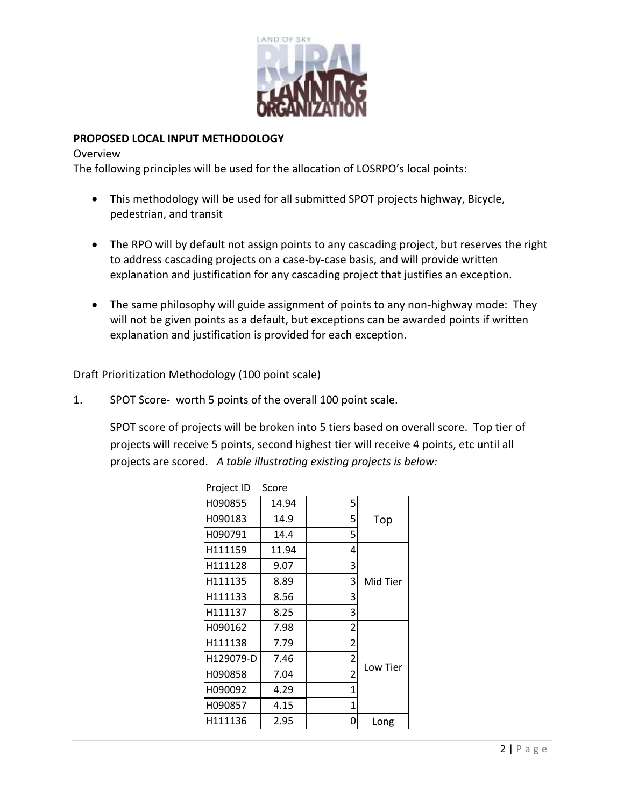

## **PROPOSED LOCAL INPUT METHODOLOGY**

#### **Overview**

The following principles will be used for the allocation of LOSRPO's local points:

- This methodology will be used for all submitted SPOT projects highway, Bicycle, pedestrian, and transit
- The RPO will by default not assign points to any cascading project, but reserves the right to address cascading projects on a case-by-case basis, and will provide written explanation and justification for any cascading project that justifies an exception.
- The same philosophy will guide assignment of points to any non-highway mode: They will not be given points as a default, but exceptions can be awarded points if written explanation and justification is provided for each exception.

Draft Prioritization Methodology (100 point scale)

1. SPOT Score- worth 5 points of the overall 100 point scale.

SPOT score of projects will be broken into 5 tiers based on overall score. Top tier of projects will receive 5 points, second highest tier will receive 4 points, etc until all projects are scored. *A table illustrating existing projects is below:*

| Project ID | Score |                |          |  |  |
|------------|-------|----------------|----------|--|--|
| H090855    | 14.94 | 5              |          |  |  |
| H090183    | 14.9  | 5              | Top      |  |  |
| H090791    | 14.4  | 5              |          |  |  |
| H111159    | 11.94 | 4              |          |  |  |
| H111128    | 9.07  | 3              |          |  |  |
| H111135    | 8.89  | 3              | Mid Tier |  |  |
| H111133    | 8.56  | 3              |          |  |  |
| H111137    | 8.25  |                |          |  |  |
| H090162    | 7.98  | $\overline{2}$ |          |  |  |
| H111138    | 7.79  | 2              |          |  |  |
| H129079-D  | 7.46  | $\overline{2}$ | Low Tier |  |  |
| H090858    | 7.04  | $\overline{2}$ |          |  |  |
| H090092    | 4.29  | 1              |          |  |  |
| H090857    | 4.15  | 1              |          |  |  |
| H111136    | 2.95  | 0              | Long     |  |  |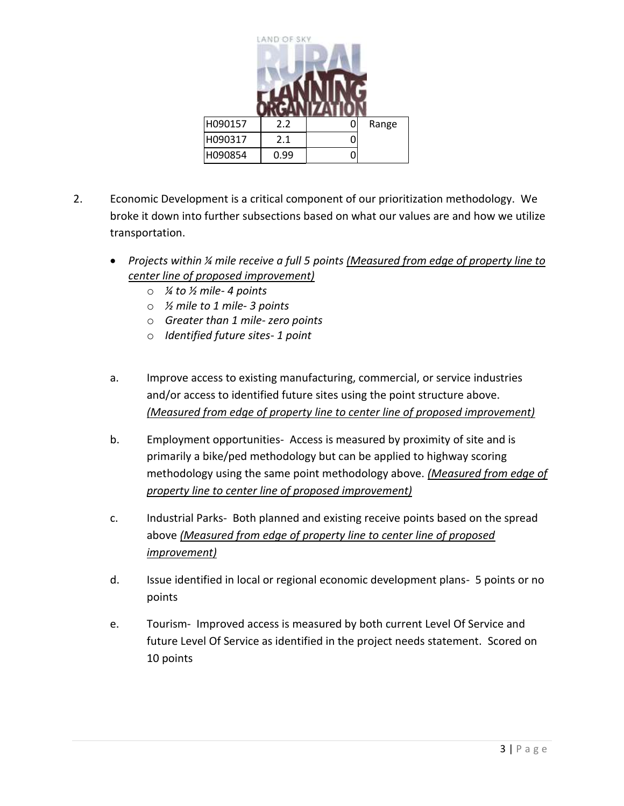

- 2. Economic Development is a critical component of our prioritization methodology. We broke it down into further subsections based on what our values are and how we utilize transportation.
	- *Projects within ¼ mile receive a full 5 points (Measured from edge of property line to center line of proposed improvement)*
		- o *¼ to ½ mile- 4 points*
		- o *½ mile to 1 mile- 3 points*
		- o *Greater than 1 mile- zero points*
		- o *Identified future sites- 1 point*
	- a. Improve access to existing manufacturing, commercial, or service industries and/or access to identified future sites using the point structure above. *(Measured from edge of property line to center line of proposed improvement)*
	- b. Employment opportunities- Access is measured by proximity of site and is primarily a bike/ped methodology but can be applied to highway scoring methodology using the same point methodology above. *(Measured from edge of property line to center line of proposed improvement)*
	- c. Industrial Parks- Both planned and existing receive points based on the spread above *(Measured from edge of property line to center line of proposed improvement)*
	- d. Issue identified in local or regional economic development plans- 5 points or no points
	- e. Tourism- Improved access is measured by both current Level Of Service and future Level Of Service as identified in the project needs statement. Scored on 10 points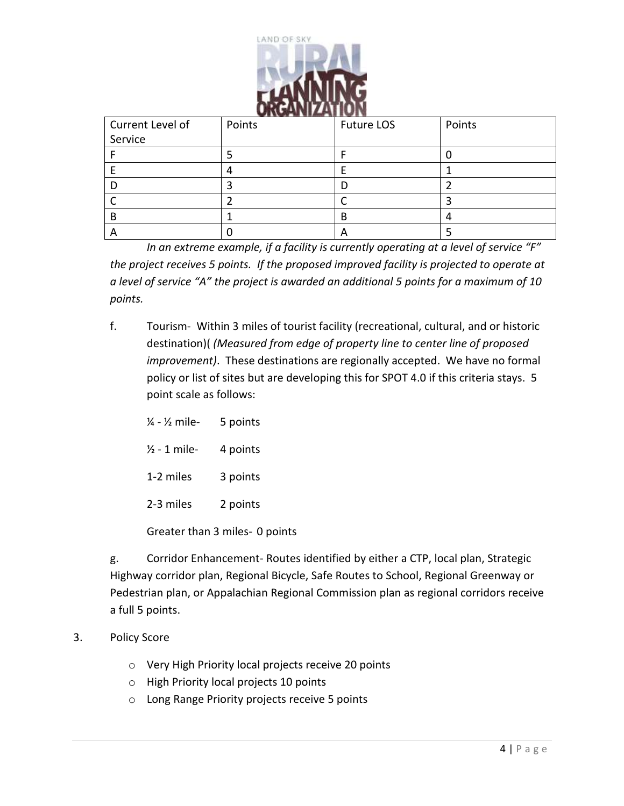

| Current Level of | Points | Future LOS | Points |  |  |  |  |  |  |  |  |
|------------------|--------|------------|--------|--|--|--|--|--|--|--|--|
| Service          |        |            |        |  |  |  |  |  |  |  |  |
|                  |        |            |        |  |  |  |  |  |  |  |  |
|                  |        |            |        |  |  |  |  |  |  |  |  |
|                  |        |            |        |  |  |  |  |  |  |  |  |
|                  |        |            |        |  |  |  |  |  |  |  |  |
| B                |        | B          |        |  |  |  |  |  |  |  |  |
|                  |        | A          |        |  |  |  |  |  |  |  |  |

*In an extreme example, if a facility is currently operating at a level of service "F" the project receives 5 points. If the proposed improved facility is projected to operate at a level of service "A" the project is awarded an additional 5 points for a maximum of 10 points.*

- f. Tourism- Within 3 miles of tourist facility (recreational, cultural, and or historic destination)( *(Measured from edge of property line to center line of proposed improvement)*. These destinations are regionally accepted. We have no formal policy or list of sites but are developing this for SPOT 4.0 if this criteria stays. 5 point scale as follows:
	- $\frac{1}{4}$   $\frac{1}{2}$  mile- 5 points  $\frac{1}{2}$  - 1 mile- 4 points 1-2 miles 3 points 2-3 miles 2 points Greater than 3 miles- 0 points

g. Corridor Enhancement- Routes identified by either a CTP, local plan, Strategic Highway corridor plan, Regional Bicycle, Safe Routes to School, Regional Greenway or Pedestrian plan, or Appalachian Regional Commission plan as regional corridors receive a full 5 points.

- 3. Policy Score
	- o Very High Priority local projects receive 20 points
	- o High Priority local projects 10 points
	- o Long Range Priority projects receive 5 points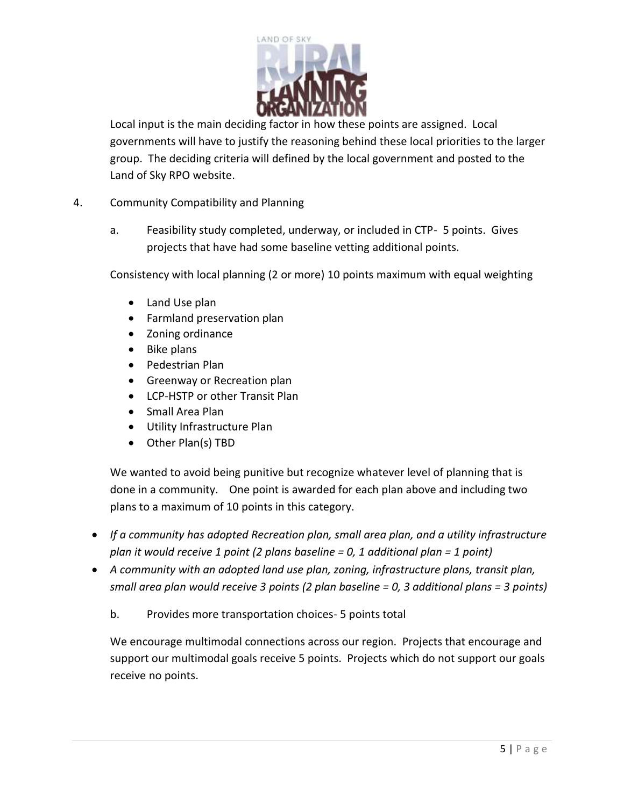

Local input is the main deciding factor in how these points are assigned. Local governments will have to justify the reasoning behind these local priorities to the larger group. The deciding criteria will defined by the local government and posted to the Land of Sky RPO website.

- 4. Community Compatibility and Planning
	- a. Feasibility study completed, underway, or included in CTP- 5 points. Gives projects that have had some baseline vetting additional points.

Consistency with local planning (2 or more) 10 points maximum with equal weighting

- Land Use plan
- Farmland preservation plan
- Zoning ordinance
- Bike plans
- Pedestrian Plan
- **Greenway or Recreation plan**
- LCP-HSTP or other Transit Plan
- Small Area Plan
- Utility Infrastructure Plan
- Other Plan(s) TBD

We wanted to avoid being punitive but recognize whatever level of planning that is done in a community. One point is awarded for each plan above and including two plans to a maximum of 10 points in this category.

- *If a community has adopted Recreation plan, small area plan, and a utility infrastructure plan it would receive 1 point (2 plans baseline = 0, 1 additional plan = 1 point)*
- *A community with an adopted land use plan, zoning, infrastructure plans, transit plan, small area plan would receive 3 points (2 plan baseline = 0, 3 additional plans = 3 points)*
	- b. Provides more transportation choices- 5 points total

We encourage multimodal connections across our region. Projects that encourage and support our multimodal goals receive 5 points. Projects which do not support our goals receive no points.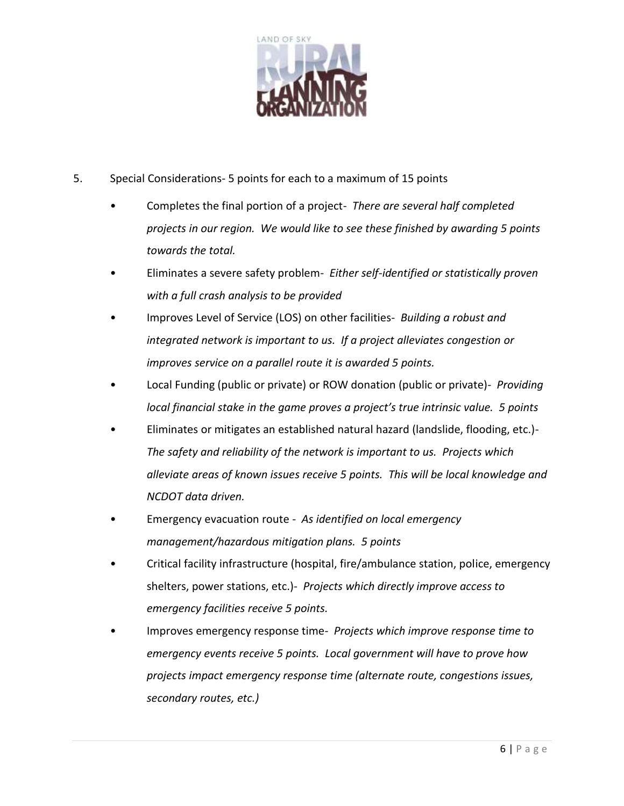

- 5. Special Considerations- 5 points for each to a maximum of 15 points
	- Completes the final portion of a project- *There are several half completed projects in our region. We would like to see these finished by awarding 5 points towards the total.*
	- Eliminates a severe safety problem- *Either self-identified or statistically proven with a full crash analysis to be provided*
	- Improves Level of Service (LOS) on other facilities- *Building a robust and integrated network is important to us. If a project alleviates congestion or improves service on a parallel route it is awarded 5 points.*
	- Local Funding (public or private) or ROW donation (public or private)- *Providing local financial stake in the game proves a project's true intrinsic value. 5 points*
	- Eliminates or mitigates an established natural hazard (landslide, flooding, etc.)- *The safety and reliability of the network is important to us. Projects which alleviate areas of known issues receive 5 points. This will be local knowledge and NCDOT data driven.*
	- Emergency evacuation route *As identified on local emergency management/hazardous mitigation plans. 5 points*
	- Critical facility infrastructure (hospital, fire/ambulance station, police, emergency shelters, power stations, etc.)- *Projects which directly improve access to emergency facilities receive 5 points.*
	- Improves emergency response time- *Projects which improve response time to emergency events receive 5 points. Local government will have to prove how projects impact emergency response time (alternate route, congestions issues, secondary routes, etc.)*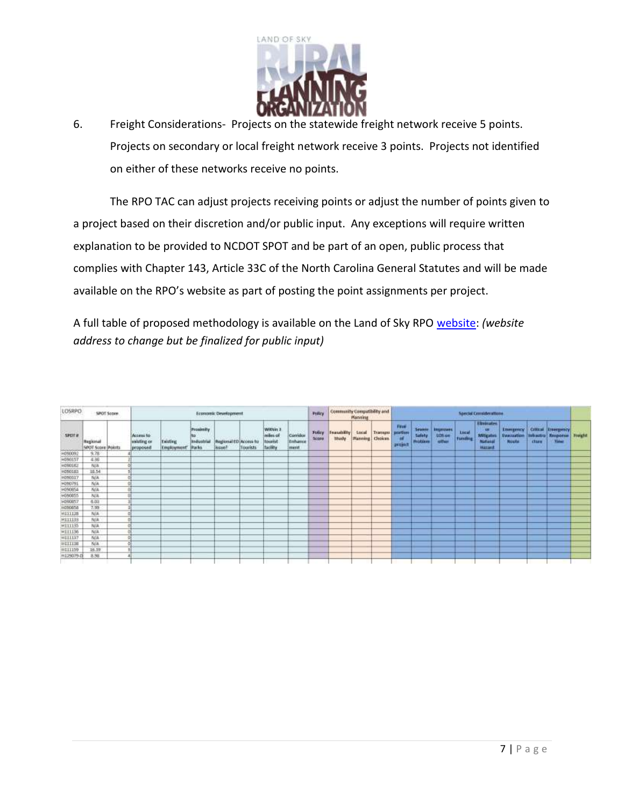

6. Freight Considerations- Projects on the statewide freight network receive 5 points. Projects on secondary or local freight network receive 3 points. Projects not identified on either of these networks receive no points.

The RPO TAC can adjust projects receiving points or adjust the number of points given to a project based on their discretion and/or public input. Any exceptions will require written explanation to be provided to NCDOT SPOT and be part of an open, public process that complies with Chapter 143, Article 33C of the North Carolina General Statutes and will be made available on the RPO's website as part of posting the point assignments per project.

A full table of proposed methodology is available on the Land of Sky RPO [website:](ftp://landofskygis.org/mpo/BoardSupport/PrioritizationSubcommittee/LOSRPOInfo/LOSRPOPrioritizationWITHSPOTscores.xlsx) *(website address to change but be finalized for public input)*

| LOSRPO         |                               | SPOT Score |                                                      | Festnonic Development  |                                                       |                                                    |          |                                                           |                             |                       | Community Compatibility and<br><b>Manning</b> |                                 |                    | <b>Special Considerations</b> |                                       |                               |                                   |                                                                       |                                                       |       |                                                             |                |
|----------------|-------------------------------|------------|------------------------------------------------------|------------------------|-------------------------------------------------------|----------------------------------------------------|----------|-----------------------------------------------------------|-----------------------------|-----------------------|-----------------------------------------------|---------------------------------|--------------------|-------------------------------|---------------------------------------|-------------------------------|-----------------------------------|-----------------------------------------------------------------------|-------------------------------------------------------|-------|-------------------------------------------------------------|----------------|
| <b>SPOT #</b>  | Regional<br>SPOT Score Points |            | Access to<br><b><i>lealisting</i></b> or<br>proposed | Existing<br>Employment | Proximity<br>TD.<br><b>Industrial</b><br><b>Parks</b> | <b>Regional ED Access to</b><br>hisse <sup>3</sup> | Tourists | Within 3<br>miles of<br><b>tourist</b><br><b>Tacility</b> | Corridor<br>Enhance<br>ment | <b>Folioy</b><br>5009 | Featurality<br><b>Study</b>                   | Lucal<br><b>Manning</b> Choices | Tramupis : portion | Fine<br>Ħ<br>project          | Seattle<br>Safety.<br><b>Produces</b> | tegraves<br>  USS on<br>other | Liscal<br>Taména<br><b>Arriva</b> | Eliminates<br><b>un</b><br><b>Mitigate</b><br>Natural<br><b>HATAN</b> | <b>Emergency</b><br><b>Evenuation</b><br><b>Houte</b> | cture | Critical Emergency<br>trivactio   flexporter<br><b>Time</b> | <b>Freight</b> |
| H090092        | 9.78                          |            |                                                      |                        |                                                       |                                                    |          |                                                           |                             |                       |                                               |                                 |                    |                               |                                       |                               |                                   |                                                                       |                                                       |       |                                                             |                |
| H090157        | 4.86                          |            |                                                      |                        |                                                       |                                                    |          |                                                           |                             |                       |                                               |                                 |                    |                               |                                       |                               |                                   |                                                                       |                                                       |       |                                                             |                |
| HD90162        | N/A                           |            |                                                      |                        |                                                       |                                                    |          |                                                           |                             |                       |                                               |                                 |                    |                               |                                       |                               |                                   |                                                                       |                                                       |       |                                                             |                |
| HD50183        | 18.54                         |            |                                                      |                        |                                                       |                                                    |          |                                                           |                             |                       |                                               |                                 |                    |                               |                                       |                               |                                   |                                                                       |                                                       |       |                                                             |                |
| HD90317        | <b>N/A</b>                    |            |                                                      |                        |                                                       |                                                    |          |                                                           |                             |                       |                                               |                                 |                    |                               |                                       |                               |                                   |                                                                       |                                                       |       |                                                             |                |
| H090791        | N/A                           |            |                                                      |                        |                                                       |                                                    |          |                                                           |                             |                       |                                               |                                 |                    |                               |                                       |                               |                                   |                                                                       |                                                       |       |                                                             |                |
| H090854        | <b>N/A</b>                    |            |                                                      |                        |                                                       |                                                    |          |                                                           |                             |                       |                                               |                                 |                    |                               |                                       |                               |                                   |                                                                       |                                                       |       |                                                             |                |
| H090855        | N/A                           |            |                                                      |                        |                                                       |                                                    |          |                                                           |                             |                       |                                               |                                 |                    |                               |                                       |                               |                                   |                                                                       |                                                       |       |                                                             |                |
| HD90857        | 6.07                          |            |                                                      |                        |                                                       |                                                    |          |                                                           |                             |                       |                                               |                                 |                    |                               |                                       |                               |                                   |                                                                       |                                                       |       |                                                             |                |
| 11090808       | 7.99                          |            |                                                      |                        |                                                       |                                                    |          |                                                           |                             |                       |                                               |                                 |                    |                               |                                       |                               |                                   |                                                                       |                                                       |       |                                                             |                |
| H111128        | N/A                           |            |                                                      |                        |                                                       |                                                    |          |                                                           |                             |                       |                                               |                                 |                    |                               |                                       |                               |                                   |                                                                       |                                                       |       |                                                             |                |
| H111133        | N/A                           |            |                                                      |                        |                                                       |                                                    |          |                                                           |                             |                       |                                               |                                 |                    |                               |                                       |                               |                                   |                                                                       |                                                       |       |                                                             |                |
| H111135        | N/A                           |            |                                                      |                        |                                                       |                                                    |          |                                                           |                             |                       |                                               |                                 |                    |                               |                                       |                               |                                   |                                                                       |                                                       |       |                                                             |                |
| H111136        | N/A                           |            |                                                      |                        |                                                       |                                                    |          |                                                           |                             |                       |                                               |                                 |                    |                               |                                       |                               |                                   |                                                                       |                                                       |       |                                                             |                |
| <b>HIIII37</b> | N/A                           |            |                                                      |                        |                                                       |                                                    |          |                                                           |                             |                       |                                               |                                 |                    |                               |                                       |                               |                                   |                                                                       |                                                       |       |                                                             |                |
| 10111130       | NA.                           |            |                                                      |                        |                                                       |                                                    |          |                                                           |                             |                       |                                               |                                 |                    |                               |                                       |                               |                                   |                                                                       |                                                       |       |                                                             |                |
| HI11159        | 16.19                         |            |                                                      |                        |                                                       |                                                    |          |                                                           |                             |                       |                                               |                                 |                    |                               |                                       |                               |                                   |                                                                       |                                                       |       |                                                             |                |
| H125079-D      | 8.58                          |            |                                                      |                        |                                                       |                                                    |          |                                                           |                             |                       |                                               |                                 |                    |                               |                                       |                               |                                   |                                                                       |                                                       |       |                                                             |                |
|                |                               |            |                                                      |                        |                                                       |                                                    |          |                                                           |                             |                       |                                               |                                 |                    |                               |                                       |                               |                                   |                                                                       |                                                       |       |                                                             |                |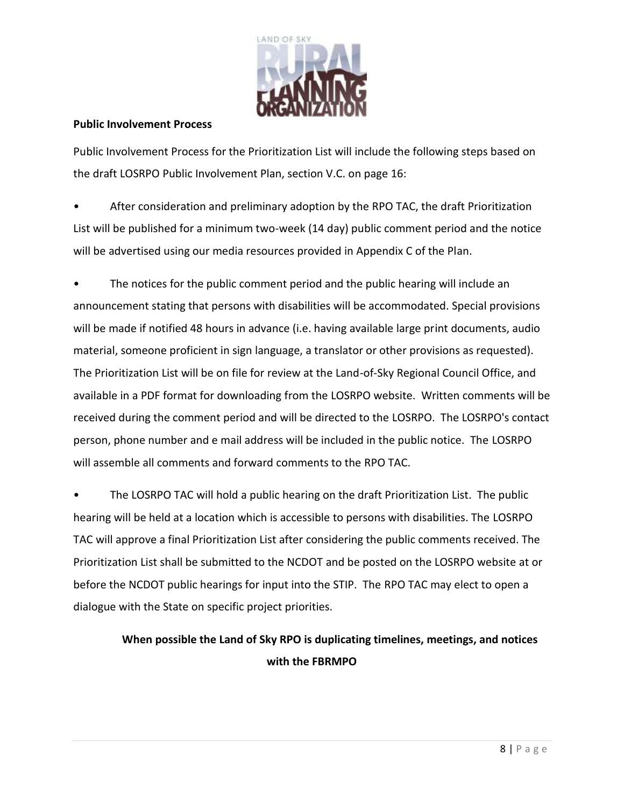

#### **Public Involvement Process**

Public Involvement Process for the Prioritization List will include the following steps based on the draft LOSRPO Public Involvement Plan, section V.C. on page 16:

After consideration and preliminary adoption by the RPO TAC, the draft Prioritization List will be published for a minimum two-week (14 day) public comment period and the notice will be advertised using our media resources provided in Appendix C of the Plan.

The notices for the public comment period and the public hearing will include an announcement stating that persons with disabilities will be accommodated. Special provisions will be made if notified 48 hours in advance (i.e. having available large print documents, audio material, someone proficient in sign language, a translator or other provisions as requested). The Prioritization List will be on file for review at the Land-of-Sky Regional Council Office, and available in a PDF format for downloading from the LOSRPO website. Written comments will be received during the comment period and will be directed to the LOSRPO. The LOSRPO's contact person, phone number and e mail address will be included in the public notice. The LOSRPO will assemble all comments and forward comments to the RPO TAC.

The LOSRPO TAC will hold a public hearing on the draft Prioritization List. The public hearing will be held at a location which is accessible to persons with disabilities. The LOSRPO TAC will approve a final Prioritization List after considering the public comments received. The Prioritization List shall be submitted to the NCDOT and be posted on the LOSRPO website at or before the NCDOT public hearings for input into the STIP. The RPO TAC may elect to open a dialogue with the State on specific project priorities.

# **When possible the Land of Sky RPO is duplicating timelines, meetings, and notices with the FBRMPO**